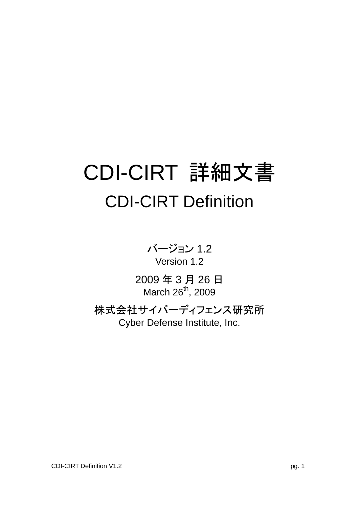# CDI-CIRT 詳細文書 CDI-CIRT Definition

バージョン 1.2 Version 1.2

2009 年 3 月 26 日 March 26<sup>th</sup>, 2009

株式会社サイバーディフェンス研究所 Cyber Defense Institute, Inc.

CDI-CIRT Definition V1.2 pg. 1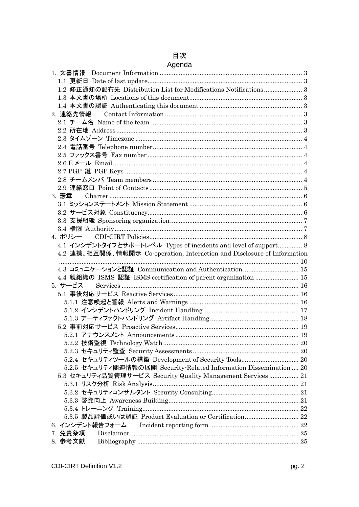## 目次

|  | Agenda |
|--|--------|
|  |        |

| 1.2 修正通知の配布先 Distribution List for Modifications Notifications 3<br>2. 連絡先情報<br>3. 憲章<br>4.1 インシデントタイプとサポートレベル Types of incidents and level of support 8<br>4.2 連携、相互関係、情報開示 Co-operation, Interaction and Disclosure of Information<br>4.3 コミュニケーションと認証 Communication and Authentication  15<br>4.4 親組織の ISMS 認証 ISMS certification of parent organization  15 |  |
|-----------------------------------------------------------------------------------------------------------------------------------------------------------------------------------------------------------------------------------------------------------------------------------------------------------------------------------------------------------------|--|
|                                                                                                                                                                                                                                                                                                                                                                 |  |
|                                                                                                                                                                                                                                                                                                                                                                 |  |
|                                                                                                                                                                                                                                                                                                                                                                 |  |
|                                                                                                                                                                                                                                                                                                                                                                 |  |
|                                                                                                                                                                                                                                                                                                                                                                 |  |
|                                                                                                                                                                                                                                                                                                                                                                 |  |
|                                                                                                                                                                                                                                                                                                                                                                 |  |
|                                                                                                                                                                                                                                                                                                                                                                 |  |
|                                                                                                                                                                                                                                                                                                                                                                 |  |
|                                                                                                                                                                                                                                                                                                                                                                 |  |
|                                                                                                                                                                                                                                                                                                                                                                 |  |
|                                                                                                                                                                                                                                                                                                                                                                 |  |
|                                                                                                                                                                                                                                                                                                                                                                 |  |
|                                                                                                                                                                                                                                                                                                                                                                 |  |
|                                                                                                                                                                                                                                                                                                                                                                 |  |
|                                                                                                                                                                                                                                                                                                                                                                 |  |
|                                                                                                                                                                                                                                                                                                                                                                 |  |
|                                                                                                                                                                                                                                                                                                                                                                 |  |
|                                                                                                                                                                                                                                                                                                                                                                 |  |
|                                                                                                                                                                                                                                                                                                                                                                 |  |
|                                                                                                                                                                                                                                                                                                                                                                 |  |
|                                                                                                                                                                                                                                                                                                                                                                 |  |
|                                                                                                                                                                                                                                                                                                                                                                 |  |
|                                                                                                                                                                                                                                                                                                                                                                 |  |
|                                                                                                                                                                                                                                                                                                                                                                 |  |
| 5.サービス                                                                                                                                                                                                                                                                                                                                                          |  |
| 5.1 事後対応サービス Reactive Services ……………………………………………………………………… 16                                                                                                                                                                                                                                                                                                   |  |
|                                                                                                                                                                                                                                                                                                                                                                 |  |
|                                                                                                                                                                                                                                                                                                                                                                 |  |
|                                                                                                                                                                                                                                                                                                                                                                 |  |
|                                                                                                                                                                                                                                                                                                                                                                 |  |
|                                                                                                                                                                                                                                                                                                                                                                 |  |
|                                                                                                                                                                                                                                                                                                                                                                 |  |
|                                                                                                                                                                                                                                                                                                                                                                 |  |
| 5.2.4 セキュリティツールの構築 Development of Security Tools 20                                                                                                                                                                                                                                                                                                             |  |
| 5.2.5 セキュリティ関連情報の展開 Security Related Information Dissemination  20                                                                                                                                                                                                                                                                                              |  |
| 5.3 セキュリティ品質管理サービス Security Quality Management Services  21                                                                                                                                                                                                                                                                                                     |  |
|                                                                                                                                                                                                                                                                                                                                                                 |  |
|                                                                                                                                                                                                                                                                                                                                                                 |  |
|                                                                                                                                                                                                                                                                                                                                                                 |  |
|                                                                                                                                                                                                                                                                                                                                                                 |  |
|                                                                                                                                                                                                                                                                                                                                                                 |  |
|                                                                                                                                                                                                                                                                                                                                                                 |  |
|                                                                                                                                                                                                                                                                                                                                                                 |  |
| 7. 免責条項                                                                                                                                                                                                                                                                                                                                                         |  |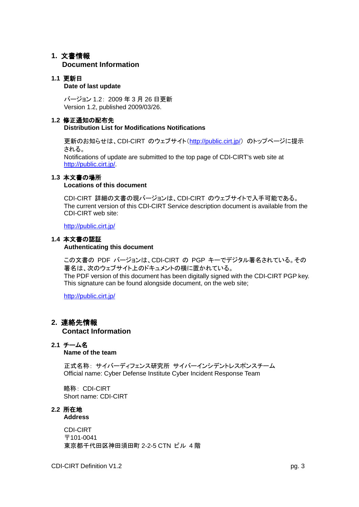## <span id="page-2-0"></span>**1.** 文書情報

## **Document Information**

## <span id="page-2-1"></span>**1.1** 更新日

## **Date of last update**

バージョン 1.2: 2009 年 3 月 26 日更新 Version 1.2, published 2009/03/26.

## <span id="page-2-2"></span>**1.2** 修正通知の配布先

## **Distribution List for Modifications Notifications**

更新のお知らせは、CDI-CIRT のウェブサイト(<http://public.cirt.jp/>) のトップページに提示 される。

Notifications of update are submitted to the top page of CDI-CIRT's web site at [http://public.cirt.jp/.](http://public.cirt.jp/)

## <span id="page-2-3"></span>**1.3** 本文書の場所

## **Locations of this document**

CDI-CIRT 詳細の文書の現バージョンは、CDI-CIRT のウェブサイトで入手可能である。 The current version of this CDI-CIRT Service description document is available from the CDI-CIRT web site:

<http://public.cirt.jp/>

## <span id="page-2-4"></span>**1.4** 本文書の認証

## **Authenticating this document**

この文書の PDF バージョンは、CDI-CIRT の PGP キーでデジタル署名されている。その 署名は、次のウェブサイト上のドキュメントの横に置かれている。 The PDF version of this document has been digitally signed with the CDI-CIRT PGP key. This signature can be found alongside document, on the web site;

<http://public.cirt.jp/>

## <span id="page-2-5"></span>**2.** 連絡先情報  **Contact Information**

## <span id="page-2-6"></span>**2.1** チーム名

**Name of the team**

正式名称: サイバーディフェンス研究所 サイバーインシデントレスポンスチーム Official name: Cyber Defense Institute Cyber Incident Response Team

略称: CDI-CIRT Short name: CDI-CIRT

#### <span id="page-2-7"></span>**2.2** 所在地 **Address**

CDI-CIRT 〒101-0041 東京都千代田区神田須田町 2-2-5 CTN ビル 4 階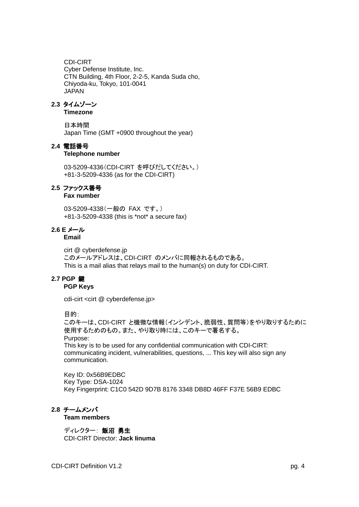CDI-CIRT Cyber Defense Institute, Inc. CTN Building, 4th Floor, 2-2-5, Kanda Suda cho, Chiyoda-ku, Tokyo, 101-0041 JAPAN

## <span id="page-3-0"></span>**2.3** タイムゾーン

**Timezone**

日本時間 Japan Time (GMT +0900 throughout the year)

## <span id="page-3-1"></span>**2.4** 電話番号

## **Telephone number**

03-5209-4336(CDI-CIRT を呼びだしてください。) +81-3-5209-4336 (as for the CDI-CIRT)

## <span id="page-3-2"></span>**2.5** ファックス番号

**Fax number**

03-5209-4338 (一般の FAX です。) +81-3-5209-4338 (this is \*not\* a secure fax)

## <span id="page-3-3"></span>**2.6 E** メール

## **Email**

cirt @ cyberdefense.jp このメールアドレスは、CDI-CIRT のメンバに同報されるものである。 This is a mail alias that relays mail to the human(s) on duty for CDI-CIRT.

## <span id="page-3-4"></span>**2.7 PGP** 鍵

## **PGP Keys**

cdi-cirt <cirt @ cyberdefense.jp>

## 目的:

このキーは、CDI-CIRT と機微な情報(インシデント、脆弱性、質問等)をやり取りするために 使用するためのもの。また、やり取り時には、このキーで署名する。 Purpose: This key is to be used for any confidential communication with CDI-CIRT: communicating incident, vulnerabilities, questions, ... This key will also sign any communication.

Key ID: 0x56B9EDBC Key Type: DSA-1024 Key Fingerprint: C1C0 542D 9D7B 8176 3348 DB8D 46FF F37E 56B9 EDBC

## <span id="page-3-5"></span>**2.8** チームメンバ

**Team members**

## ディレクター: 飯沼 勇生

CDI-CIRT Director: **Jack Iinuma**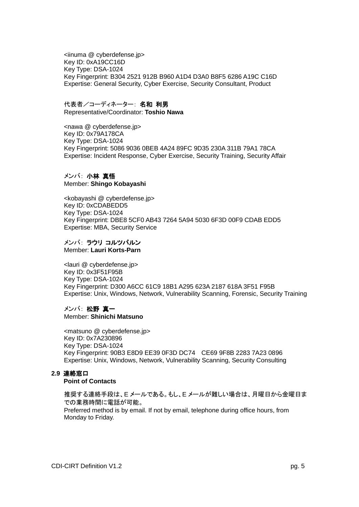<iinuma @ cyberdefense.jp> Key ID: 0xA19CC16D Key Type: DSA-1024 Key Fingerprint: B304 2521 912B B960 A1D4 D3A0 B8F5 6286 A19C C16D Expertise: General Security, Cyber Exercise, Security Consultant, Product

#### 代表者/コーディネーター: 名和 利男

Representative/Coordinator: **Toshio Nawa**

<nawa @ cyberdefense.jp> Key ID: 0x79A178CA Key Type: DSA-1024 Key Fingerprint: 5086 9036 0BEB 4A24 89FC 9D35 230A 311B 79A1 78CA Expertise: Incident Response, Cyber Exercise, Security Training, Security Affair

## メンバ: 小林 真悟 Member: **Shingo Kobayashi**

<kobayashi @ cyberdefense.jp> Key ID: 0xCDABEDD5 Key Type: DSA-1024 Key Fingerprint: DBE8 5CF0 AB43 7264 5A94 5030 6F3D 00F9 CDAB EDD5 Expertise: MBA, Security Service

## メンバ: ラウリ コルツパルン

Member: **Lauri Korts-Parn**

<lauri @ cyberdefense.jp> Key ID: 0x3F51F95B Key Type: DSA-1024 Key Fingerprint: D300 A6CC 61C9 18B1 A295 623A 2187 618A 3F51 F95B Expertise: Unix, Windows, Network, Vulnerability Scanning, Forensic, Security Training

## メンバ: 松野 真一

Member: **Shinichi Matsuno**

<matsuno @ cyberdefense.jp> Key ID: 0x7A230896 Key Type: DSA-1024 Key Fingerprint: 90B3 E8D9 EE39 0F3D DC74 CE69 9F8B 2283 7A23 0896 Expertise: Unix, Windows, Network, Vulnerability Scanning, Security Consulting

## <span id="page-4-0"></span>**2.9** 連絡窓口

## **Point of Contacts**

推奨する連絡手段は、E メールである。もし、E メールが難しい場合は、月曜日から金曜日ま での業務時間に電話が可能。 Preferred method is by email. If not by email, telephone during office hours, from

Monday to Friday.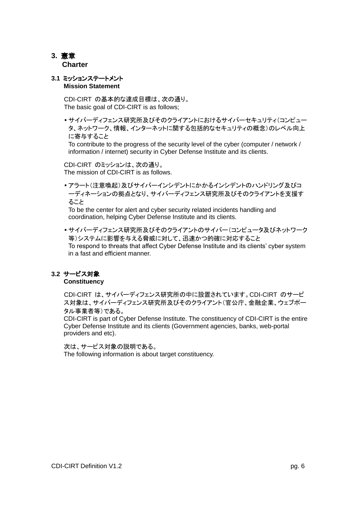## <span id="page-5-0"></span>**3.** 憲章  **Charter**

## <span id="page-5-1"></span>**3.1** ミッションステートメント **Mission Statement**

CDI-CIRT の基本的な達成目標は、次の通り。 The basic goal of CDI-CIRT is as follows;

 サイバーディフェンス研究所及びそのクライアントにおけるサイバーセキュリティ(コンピュー タ、ネットワーク、情報、インターネットに関する包括的なセキュリティの概念)のレベル向上 に寄与すること

To contribute to the progress of the security level of the cyber (computer / network / information / internet) security in Cyber Defense Institute and its clients.

CDI-CIRT のミッションは、次の通り。 The mission of CDI-CIRT is as follows.

 アラート(注意喚起)及びサイバーインシデントにかかるインシデントのハンドリング及びコ ーディネーションの拠点となり、サイバーディフェンス研究所及びそのクライアントを支援す ること

To be the center for alert and cyber security related incidents handling and coordination, helping Cyber Defense Institute and its clients.

 サイバーディフェンス研究所及びそのクライアントのサイバー(コンピュータ及びネットワーク 等)システムに影響を与える脅威に対して、迅速かつ的確に対応すること To respond to threats that affect Cyber Defense Institute and its clients' cyber system in a fast and efficient manner.

## <span id="page-5-2"></span>**3.2** サービス対象

**Constituency**

CDI-CIRT は、サイバーディフェンス研究所の中に設置されています。CDI-CIRT のサービ ス対象は、サイバーディフェンス研究所及びそのクライアント(官公庁、金融企業、ウェブポー タル事業者等)である。

CDI-CIRT is part of Cyber Defense Institute. The constituency of CDI-CIRT is the entire Cyber Defense Institute and its clients (Government agencies, banks, web-portal providers and etc).

次は、サービス対象の説明である。 The following information is about target constituency.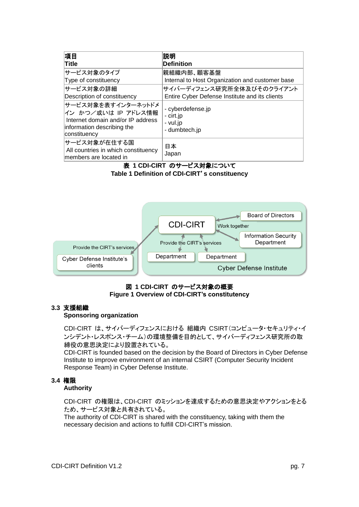| 項目                                                                                                                           | 説明                                                          |
|------------------------------------------------------------------------------------------------------------------------------|-------------------------------------------------------------|
| Title                                                                                                                        | <b>Definition</b>                                           |
| サービス対象のタイプ                                                                                                                   | 親組織内部、顧客基盤                                                  |
| Type of constituency                                                                                                         | Internal to Host Organization and customer base             |
| サービス対象の詳細                                                                                                                    | サイバーディフェンス研究所全体及びそのクライアント                                   |
| Description of constituency                                                                                                  | Entire Cyber Defense Institute and its clients              |
| サービス対象を表すインターネットドメ<br>イン かつ/或いは IP アドレス情報<br>Internet domain and/or IP address<br>information describing the<br>constituency | - cyberdefense.jp<br>- cirt.jp<br>- vul.jp<br>- dumbtech.jp |
| サービス対象が在住する国<br>All countries in which constituency<br>members are located in                                                | 日本<br>Japan                                                 |

## 表 **1 CDI-CIRT** のサービス対象について

**Table 1 Definition of CDI-CIRT**'**s constituency**



## 図 **1 CDI-CIRT** のサービス対象の概要 **Figure 1 Overview of CDI-CIRT's constitutency**

## <span id="page-6-0"></span>**3.3** 支援組織

## **Sponsoring organization**

CDI-CIRT は、サイバーディフェンスにおける 組織内 CSIRT(コンピュータ・セキュリティ・イ ンシデント・レスポンス・チーム)の環境整備を目的として、サイバーディフェンス研究所の取 締役の意思決定により設置されている。

CDI-CIRT is founded based on the decision by the Board of Directors in Cyber Defense Institute to improve environment of an internal CSIRT (Computer Security Incident Response Team) in Cyber Defense Institute.

## <span id="page-6-1"></span>**3.4** 権限

## **Authority**

CDI-CIRT の権限は、CDI-CIRT のミッションを達成するための意思決定やアクションをとる ため、サービス対象と共有されている。

The authority of CDI-CIRT is shared with the constituency, taking with them the necessary decision and actions to fulfill CDI-CIRT's mission.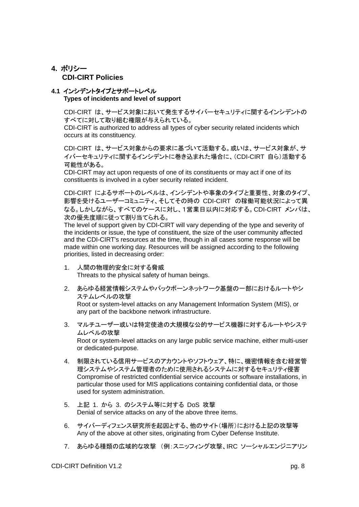## <span id="page-7-0"></span>**4.** ポリシー  **CDI-CIRT Policies**

## <span id="page-7-1"></span>**4.1** インシデントタイプとサポートレベル **Types of incidents and level of support**

CDI-CIRT は、サービス対象において発生するサイバーセキュリティに関するインシデントの すべてに対して取り組む権限が与えられている。

CDI-CIRT is authorized to address all types of cyber security related incidents which occurs at its constituency.

CDI-CIRT は、サービス対象からの要求に基づいて活動する。或いは、サービス対象が、サ イバーセキュリティに関するインシデントに巻き込まれた場合に、(CDI-CIRT 自ら)活動する 可能性がある。

CDI-CIRT may act upon requests of one of its constituents or may act if one of its constituents is involved in a cyber security related incident.

CDI-CIRT によるサポートのレベルは、インシデントや事象のタイプと重要性、対象のタイプ、 影響を受けるユーザーコミュニティ、そしてその時の CDI-CIRT の稼働可能状況によって異 なる。しかしながら、すべてのケースに対し、1営業日以内に対応する。CDI-CIRT メンバは、 次の優先度順に従って割り当てられる。

The level of support given by CDI-CIRT will vary depending of the type and severity of the incidents or issue, the type of constituent, the size of the user community affected and the CDI-CIRT's resources at the time, though in all cases some response will be made within one working day. Resources will be assigned according to the following priorities, listed in decreasing order:

- 1. 人間の物理的安全に対する脅威 Threats to the physical safety of human beings.
- 2. あらゆる経営情報システムやバックボーンネットワーク基盤の一部におけるルートやシ ステムレベルの攻撃

Root or system-level attacks on any Management Information System (MIS), or any part of the backbone network infrastructure.

3. マルチユーザー或いは特定使途の大規模な公的サービス機器に対するルートやシステ ムレベルの攻撃

Root or system-level attacks on any large public service machine, either multi-user or dedicated-purpose.

- 4. 制限されている信用サービスのアカウントやソフトウェア、特に、機密情報を含む経営管 理システムやシステム管理者のために使用されるシステムに対するセキュリティ侵害 Compromise of restricted confidential service accounts or software installations, in particular those used for MIS applications containing confidential data, or those used for system administration.
- 5. 上記 1. から 3. のシステム等に対する DoS 攻撃 Denial of service attacks on any of the above three items.
- 6. サイバーディフェンス研究所を起因とする、他のサイト(場所)における上記の攻撃等 Any of the above at other sites, originating from Cyber Defense Institute.
- 7. あらゆる種類の広域的な攻撃 (例:スニッフィング攻撃、IRC ソーシャルエンジニアリン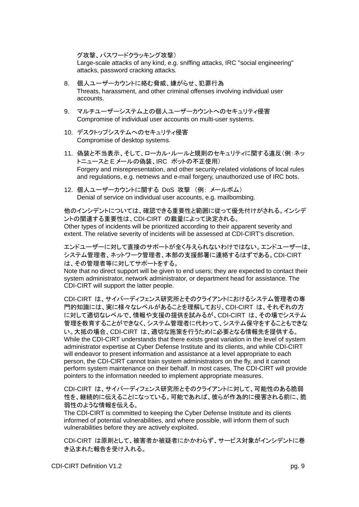グ攻撃、パスワードクラッキング攻撃)

Large-scale attacks of any kind, e.g. sniffing attacks, IRC "social engineering" attacks, password cracking attacks.

- 8. 個人ユーザーカウントに絡む脅威、嫌がらせ、犯罪行為 Threats, harassment, and other criminal offenses involving individual user accounts.
- 9. マルチユーザーシステム上の個人ユーザーカウントへのセキュリティ侵害 Compromise of individual user accounts on multi-user systems.
- 10. デスクトップシステムへのセキュリティ侵害 Compromise of desktop systems.
- 11. 偽装と不当表示、そして、ローカル・ルールと規則のセキュリティに関する違反(例:ネッ トニュースと E メールの偽装、IRC ポットの不正使用) Forgery and misrepresentation, and other security-related violations of local rules and regulations, e.g. netnews and e-mail forgery, unauthorized use of IRC bots.
- 12. 個人ユーザーカウントに関する DoS 攻撃 (例: メールボム) Denial of service on individual user accounts, e.g. mailbombing.

他のインシデントについては、確認できる重要性と範囲に従って優先付けがされる。インシデ ントの関連する重要性は、CDI-CIRT の裁量によって決定される。 Other types of incidents will be prioritized according to their apparent severity and extent. The relative severity of incidents will be assessed at CDI-CIRT's discretion.

エンドユーザーに対して直接のサポートが全く与えられないわけではない。エンドユーザーは、 システム管理者、ネットワーク管理者、本部の支援部署に連絡するはずである。CDI-CIRT は、その管理者等に対してサポートをする。

Note that no direct support will be given to end users; they are expected to contact their system administrator, network administrator, or department head for assistance. The CDI-CIRT will support the latter people.

CDI-CIRT は、サイバーディフェンス研究所とそのクライアントにおけるシステム管理者の専 門的知識には、実に様々なレベルがあることを理解しており、CDI-CIRT は、それぞれの方 に対して適切なレベルで、情報や支援の提供を試みるが、CDI-CIRT は、その場でシステム 管理を教育することができなく、システム管理者に代わって、システム保守をすることもできな い。大抵の場合、CDI-CIRT は、適切な施策を行うために必要となる情報先を提供する。 While the CDI-CIRT understands that there exists great variation in the level of system administrator expertise at Cyber Defense Institute and its clients, and while CDI-CIRT will endeavor to present information and assistance at a level appropriate to each person, the CDI-CIRT cannot train system administrators on the fly, and it cannot perform system maintenance on their behalf. In most cases, The CDI-CIRT will provide pointers to the information needed to implement appropriate measures.

CDI-CIRT は、サイバーディフェンス研究所とそのクライアントに対して、可能性のある脆弱 性を、継続的に伝えることになっている。可能であれば、彼らが作為的に侵害される前に、脆 弱性のような情報を伝える。

The CDI-CIRT is committed to keeping the Cyber Defense Institute and its clients informed of potential vulnerabilities, and where possible, will inform them of such vulnerabilities before they are actively exploited.

CDI-CIRT は原則として、被害者か被疑者にかかわらず、サービス対象がインシデントに巻 き込まれた報告を受け入れる。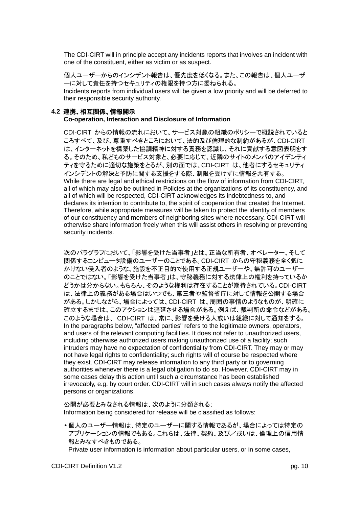The CDI-CIRT will in principle accept any incidents reports that involves an incident with one of the constituent, either as victim or as suspect.

個人ユーザーからのインシデント報告は、優先度を低くなる。また、この報告は、個人ユーザ ーに対して責任を持つセキュリティの権限を持つ方に委ねられる。 Incidents reports from individual users will be given a low priority and will be deferred to their responsible security authority.

## <span id="page-9-0"></span>**4.2** 連携、相互関係、情報開示

**Co-operation, Interaction and Disclosure of Information**

CDI-CIRT からの情報の流れにおいて、サービス対象の組織のポリシーで概説されていると ころすべて、及び、尊重すべきところにおいて、法的及び倫理的な制約があるが、CDI-CIRT は、インターネットを構築した協調精神に対する責務を認識し、それに貢献する意図表明をす る。そのため、私どものサービス対象と、必要に応じて、近隣のサイトのメンバのアイデンティ ティを守るために適切な施策をとるが、別の面では、CDI-CIRT は、他者にするセキュリティ インシデントの解決と予防に関する支援をする際、制限を受けずに情報を共有する。 While there are legal and ethical restrictions on the flow of information from CDI-CIRT, all of which may also be outlined in Policies at the organizations of its constituency, and all of which will be respected, CDI-CIRT acknowledges its indebtedness to, and declares its intention to contribute to, the spirit of cooperation that created the Internet. Therefore, while appropriate measures will be taken to protect the identity of members of our constituency and members of neighboring sites where necessary, CDI-CIRT will otherwise share information freely when this will assist others in resolving or preventing security incidents.

次のパラグラフにおいて、「影響を受けた当事者」とは、正当な所有者、オペレーター、そして 関係するコンピュータ設備のユーザーのことである。CDI-CIRT からの守秘義務を全く気に かけない侵入者のような、施設を不正目的で使用する正規ユーザーや、無許可のユーザー のことではない。「影響を受けた当事者」は、守秘義務に対する法律上の権利を持っているか どうかは分からない。もちろん、そのような権利は存在することが期待されている。CDI-CIRT は、法律上の義務がある場合はいつでも、第三者や監督省庁に対して情報を公開する場合 がある。しかしながら、場合によっては、CDI-CIRT は、周囲の事情のようなものが、明確に 確立するまでは、このアクションは遅延させる場合がある。例えば、裁判所の命令などがある。 このような場合は、 CDI-CIRT は、常に、影響を受ける人或いは組織に対して通知をする。 In the paragraphs below, "affected parties" refers to the legitimate owners, operators, and users of the relevant computing facilities. It does not refer to unauthorized users, including otherwise authorized users making unauthorized use of a facility; such intruders may have no expectation of confidentiality from CDI-CIRT. They may or may not have legal rights to confidentiality; such rights will of course be respected where they exist. CDI-CIRT may release information to any third party or to governing authorities whenever there is a legal obligation to do so. However, CDI-CIRT may in some cases delay this action until such a circumstance has been established irrevocably, e.g. by court order. CDI-CIRT will in such cases always notify the affected persons or organizations.

公開が必要とみなされる情報は、次のように分類される: Information being considered for release will be classified as follows:

 個人のユーザー情報は、特定のユーザーに関する情報であるが、場合によっては特定の アプリケーションの情報でもある。これらは、法律、契約、及び/或いは、倫理上の信用情 報とみなすべきものである。

Private user information is information about particular users, or in some cases,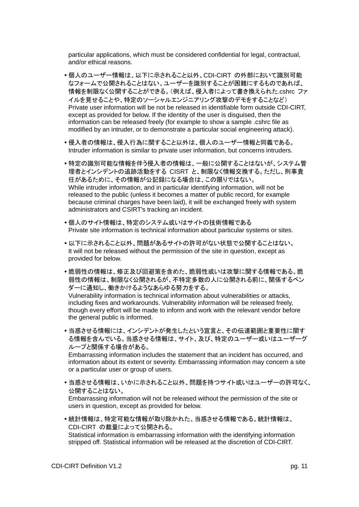particular applications, which must be considered confidential for legal, contractual, and/or ethical reasons.

- 個人のユーザー情報は、以下に示されること以外、CDI-CIRT の外部において識別可能 なフォームで公開されることはない。ユーザーを識別することが困難にするものであれば、 情報を制限なく公開することができる。(例えば、侵入者によって書き換えられた.cshrc ファ イルを見せることや、特定のソーシャルエンジニアリング攻撃のデモをすることなど) Private user information will be not be released in identifiable form outside CDI-CIRT, except as provided for below. If the identity of the user is disguised, then the information can be released freely (for example to show a sample .cshrc file as modified by an intruder, or to demonstrate a particular social engineering attack).
- 侵入者の情報は、侵入行為に関すること以外は、個人のユーザー情報と同義である。 Intruder information is similar to private user information, but concerns intruders.
- 特定の識別可能な情報を伴う侵入者の情報は、一般に公開することはないが、システム管 理者とインシデントの追跡活動をする CISRT と、制限なく情報交換する。ただし、刑事責 任があるために、その情報が公記録になる場合は、この限りではない。 While intruder information, and in particular identifying information, will not be released to the public (unless it becomes a matter of public record, for example because criminal charges have been laid), it will be exchanged freely with system administrators and CSIRT's tracking an incident.
- 個人のサイト情報は、特定のシステム或いはサイトの技術情報である Private site information is technical information about particular systems or sites.
- 以下に示されること以外、問題があるサイトの許可がない状態で公開することはない。 It will not be released without the permission of the site in question, except as provided for below.
- 脆弱性の情報は、修正及び回避策を含めた、脆弱性或いは攻撃に関する情報である。脆 弱性の情報は、制限なく公開されるが、不特定多数の人に公開される前に、関係するベン ダーに通知し、働きかけるようなあらゆる努力をする。

Vulnerability information is technical information about vulnerabilities or attacks, including fixes and workarounds. Vulnerability information will be released freely, though every effort will be made to inform and work with the relevant vendor before the general public is informed.

 当惑させる情報には、インシデントが発生したという宣言と、その伝達範囲と重要性に関す る情報を含んでいる。当惑させる情報は、サイト、及び、特定のユーザー或いはユーザーグ ループと関係する場合がある。

Embarrassing information includes the statement that an incident has occurred, and information about its extent or severity. Embarrassing information may concern a site or a particular user or group of users.

 当惑させる情報は、いかに示されること以外、問題を持つサイト或いはユーザーの許可なく、 公開することはない。

Embarrassing information will not be released without the permission of the site or users in question, except as provided for below.

 統計情報は、特定可能な情報が取り除かれた、当惑させる情報である。統計情報は、 CDI-CIRT の裁量によって公開される。

Statistical information is embarrassing information with the identifying information stripped off. Statistical information will be released at the discretion of CDI-CIRT.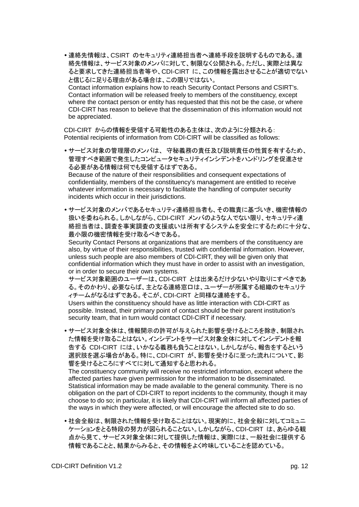連絡先情報は、CSIRT のセキュリティ連絡担当者へ連絡手段を説明するものである。連 絡先情報は、サービス対象のメンバに対して、制限なく公開される。ただし、実際とは異な ると要求してきた連絡担当者等や、CDI-CIRT に、この情報を露出させることが適切でない と信じるに足りる理由がある場合は、この限りではない。 Contact information explains how to reach Security Contact Persons and CSIRT's. Contact information will be released freely to members of the constituency, except where the contact person or entity has requested that this not be the case, or where CDI-CIRT has reason to believe that the dissemination of this information would not be appreciated.

CDI-CIRT からの情報を受領する可能性のある主体は、次のように分類される: Potential recipients of information from CDI-CIRT will be classified as follows:

- サービス対象の管理層のメンバは、 守秘義務の責任及び説明責任の性質を有するため、 管理すべき範囲で発生したコンピュータセキュリティインシデントをハンドリングを促進させ る必要がある情報は何でも受領するはずである。 Because of the nature of their responsibilities and consequent expectations of confidentiality, members of the constituency's management are entitled to receive whatever information is necessary to facilitate the handling of computer security incidents which occur in their jurisdictions.
- サービス対象のメンバであるセキュリティ連絡担当者も、その職責に基づいき、機密情報の 扱いを委ねられる。しかしながら、CDI-CIRT メンバのような人でない限り、セキュリティ連 絡担当者は、調査を事実調査の支援或いは所有するシステムを安全にするために十分な、 最小限の機密情報を受け取るべきである。

Security Contact Persons at organizations that are members of the constituency are also, by virtue of their responsibilities, trusted with confidential information. However, unless such people are also members of CDI-CIRT, they will be given only that confidential information which they must have in order to assist with an investigation, or in order to secure their own systems.

サービス対象範囲のユーザーは、CDI-CIRT とは出来るだけ少ないやり取りにすべきであ る。そのかわり、必要ならば、主となる連絡窓口は、ユーザーが所属する組織のセキュリテ ィチームがなるはずである。そこが、CDI-CIRT と同様な連絡をする。 Users within the constituency should have as little interaction with CDI-CIRT as possible. Instead, their primary point of contact should be their parent institution's security team, that in turn would contact CDI-CIRT if necessary.

 サービス対象全体は、情報開示の許可が与えられた影響を受けるところを除き、制限され た情報を受け取ることはない。インシデントをサービス対象全体に対してインシデントを報 告する CDI-CIRT には、いかなる義務も負うことはない。しかしながら、報告をするという 選択肢を選ぶ場合がある。特に、CDI-CIRT が、影響を受けるに至った流れについて、影 響を受けるところにすべてに対して通知すると思われる。

The constituency community will receive no restricted information, except where the affected parties have given permission for the information to be disseminated. Statistical information may be made available to the general community. There is no obligation on the part of CDI-CIRT to report incidents to the community, though it may choose to do so; in particular, it is likely that CDI-CIRT will inform all affected parties of the ways in which they were affected, or will encourage the affected site to do so.

 社会全般は、制限された情報を受け取ることはない。現実的に、社会全般に対してコミュニ ケーションをとる特段の努力が図られることない。しかしながら、CDI-CIRT は、あらゆる観 点から見て、サービス対象全体に対して提供した情報は、実際には、一般社会に提供する 情報であることと、結果からみると、その情報をよく吟味していることを認めている。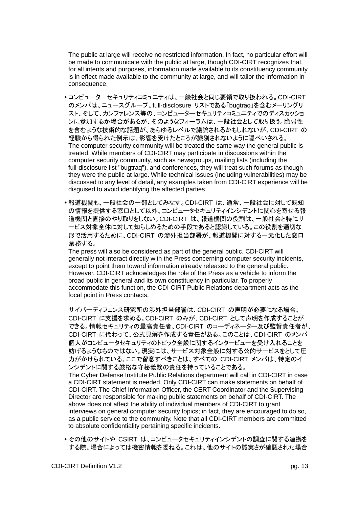The public at large will receive no restricted information. In fact, no particular effort will be made to communicate with the public at large, though CDI-CIRT recognizes that, for all intents and purposes, information made available to its constituency community is in effect made available to the community at large, and will tailor the information in consequence.

- コンピューターセキュリティコミュニティは、一般社会と同じ要領で取り扱われる。CDI-CIRT のメンバは、ニュースグループ、full-disclosure リストである「bugtraq」を含むメーリングリ スト、そして、カンファレンス等の、コンピューターセキュリティコミュニティでのディスカッショ ンに参加するか場合があるが、そのようなフォーラムは、一般社会として取り扱う。脆弱性 を含むような技術的な話題が、あらゆるレベルで議論されるかもしれないが、CDI-CIRT の 経験から得られた例示は、影響を受けたところが識別されないように隠ぺいされる。 The computer security community will be treated the same way the general public is treated. While members of CDI-CIRT may participate in discussions within the computer security community, such as newsgroups, mailing lists (including the full-disclosure list "bugtraq"), and conferences, they will treat such forums as though they were the public at large. While technical issues (including vulnerabilities) may be discussed to any level of detail, any examples taken from CDI-CIRT experience will be disguised to avoid identifying the affected parties.
- 報道機関も、一般社会の一部としてみなす。CDI-CIRT は、通常、一般社会に対して既知 の情報を提供する窓口として以外、コンピュータセキュリティインシデントに関心を寄せる報 道機関と直接のやり取りをしない。CDI-CIRT は、報道機関の役割は、一般社会と特にサ ービス対象全体に対して知らしめるための手段であると認識している。この役割を適切な 形で活用するために、CDI-CIRT の渉外担当部署が、報道機関に対する一元化した窓口 業務する。

The press will also be considered as part of the general public. CDI-CIRT will generally not interact directly with the Press concerning computer security incidents, except to point them toward information already released to the general public. However, CDI-CIRT acknowledges the role of the Press as a vehicle to inform the broad public in general and its own constituency in particular. To properly accommodate this function, the CDI-CIRT Public Relations department acts as the focal point in Press contacts.

サイバーディフェンス研究所の渉外担当部署は、CDI-CIRT の声明が必要になる場合、 CDI-CIRT に支援を求める。CDI-CIRT のみが、CDI-CIRT として声明を作成することが できる。情報セキュリティの最高責任者、CDI-CIRT のコーディネーター及び監督責任者が、 CDI-CIRT に代わって、公式見解を作成する責任がある。このことは、CDI-CIRT のメンバ 個人がコンピュータセキュリティのトピック全般に関するインタービューを受け入れることを 妨げるようなものではない。現実には、サービス対象全般に対する公的サービスをとして圧 力がかけられている。ここで留意すべきことは、すべての CDI-CIRT メンバは、特定のイ ンシデントに関する厳格な守秘義務の責任を持っていることである。

The Cyber Defense Institute Public Relations department will call in CDI-CIRT in case a CDI-CIRT statement is needed. Only CDI-CIRT can make statements on behalf of CDI-CIRT. The Chief Information Officer, the CERT Coordinator and the Supervising Director are responsible for making public statements on behalf of CDI-CIRT. The above does not affect the ability of individual members of CDI-CIRT to grant interviews on general computer security topics; in fact, they are encouraged to do so, as a public service to the community. Note that all CDI-CIRT members are committed to absolute confidentiality pertaining specific incidents.

 その他のサイトや CSIRT は、コンピュータセキュリティインシデントの調査に関する連携を する際、場合によっては機密情報を委ねる。これは、他のサイトの誠実さが確認された場合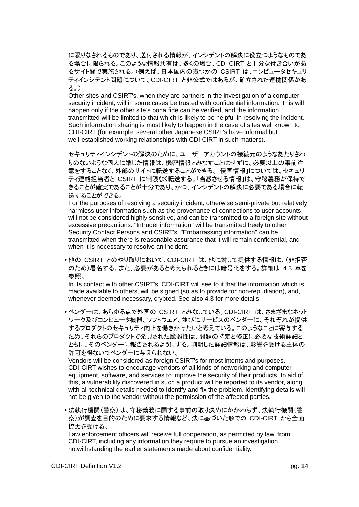に限りなされるものであり、送付される情報が、インシデントの解決に役立つようなものであ る場合に限られる。このような情報共有は、多くの場合、CDI-CIRT と十分な付き合いがあ るサイト間で実施される。(例えば、日本国内の幾つかの CSIRT は、コンピュータセキュリ ティインシデント問題について、CDI-CIRT と非公式ではあるが、確立された連携関係があ る。)

Other sites and CSIRT's, when they are partners in the investigation of a computer security incident, will in some cases be trusted with confidential information. This will happen only if the other site's bona fide can be verified, and the information transmitted will be limited to that which is likely to be helpful in resolving the incident. Such information sharing is most likely to happen in the case of sites well known to CDI-CIRT (for example, several other Japanese CSIRT's have informal but well-established working relationships with CDI-CIRT in such matters).

セキュリティインシデントの解決のために、ユーザーアカウントの接続元のようなあたりさわ りのないような個人に準じた情報は、機密情報とみなすことはせずに、必要以上の事前注 意をすることなく、外部のサイトに転送することができる。「侵害情報」については、セキュリ ティ連絡担当者と CSIRT に制限なく転送する。「当惑させる情報」は、守秘義務が保持で きることが確実であることが十分であり、かつ、インシデントの解決に必要である場合に転 送することができる。

For the purposes of resolving a security incident, otherwise semi-private but relatively harmless user information such as the provenance of connections to user accounts will not be considered highly sensitive, and can be transmitted to a foreign site without excessive precautions. "Intruder information" will be transmitted freely to other Security Contact Persons and CSIRT's. "Embarrassing information" can be transmitted when there is reasonable assurance that it will remain confidential, and when it is necessary to resolve an incident.

 他の CSIRT とのやり取りにおいて、CDI-CIRT は、他に対して提供する情報は、(非拒否 のため)署名する。また、必要があると考えられるときには暗号化をする。詳細は 4.3 章を 参照。

In its contact with other CSIRT's, CDI-CIRT will see to it that the information which is made available to others, will be signed (so as to provide for non-repudiation), and, whenever deemed necessary, crypted. See also 4.3 for more details.

 ベンダーは、あらゆる点で外国の CSIRT とみなしている。CDI-CIRT は、さまざまなネット ワーク及びコンピュータ機器、ソフトウェア、並びにサービスのベンダーに、それぞれが提供 するプロダクトのセキュリティ向上を働きかけたいと考えている。このようなことに寄与する ため、それらのプロダクトで発見された脆弱性は、問題の特定と修正に必要な技術詳細と ともに、そのベンダーに報告されるようにする。判明した詳細情報は、影響を受ける主体の 許可を得ないでベンダーに与えられない。

Vendors will be considered as foreign CSIRT's for most intents and purposes. CDI-CIRT wishes to encourage vendors of all kinds of networking and computer equipment, software, and services to improve the security of their products. In aid of this, a vulnerability discovered in such a product will be reported to its vendor, along with all technical details needed to identify and fix the problem. Identifying details will not be given to the vendor without the permission of the affected parties.

 法執行機関(警察)は、守秘義務に関する事前の取り決めにかかわらず、法執行機関(警 察)が調査を目的のために要求する情報など、法に基づいた形での CDI-CIRT から全面 協力を受ける。

Law enforcement officers will receive full cooperation, as permitted by law, from CDI-CIRT, including any information they require to pursue an investigation, notwithstanding the earlier statements made about confidentiality.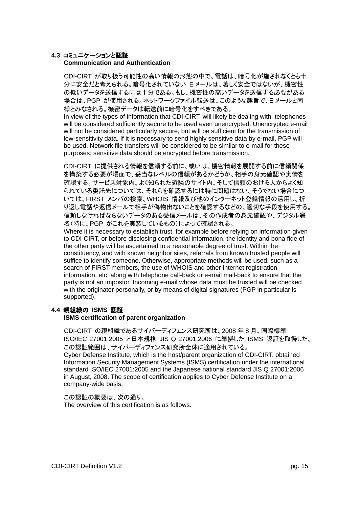## <span id="page-14-0"></span>**4.3** コミュニケーションと認証

## **Communication and Authentication**

CDI-CIRT が取り扱う可能性の高い情報の形態の中で、電話は、暗号化が施されなくとも十 分に安全だと考えられる。暗号化されていない E メールは、著しく安全ではないが、機密性 の低いデータを送信するには十分である。もし、機密性の高いデータを送信する必要がある 場合は、PGP が使用される。ネットワークファイル転送は、このような趣旨で、E メールと同 様とみなされる。機密データは転送前に暗号化をすべきである。

In view of the types of information that CDI-CIRT, will likely be dealing with, telephones will be considered sufficiently secure to be used even unencrypted. Unencrypted e-mail will not be considered particularly secure, but will be sufficient for the transmission of low-sensitivity data. If it is necessary to send highly sensitive data by e-mail, PGP will be used. Network file transfers will be considered to be similar to e-mail for these purposes: sensitive data should be encrypted before transmission.

CDI-CIRT に提供される情報を信頼する前に、或いは、機密情報を展開する前に信頼関係 を構築する必要が場面で、妥当なレベルの信頼があるかどうか、相手の身元確認や実情を 確認する。サービス対象内、よく知られた近隣のサイト内、そして信頼のおける人からよく知 られている委託先については、それらを確認するには特に問題はない。そうでない場合につ いては、FIRST メンバの検索、WHOIS 情報及び他のインターネット登録情報の活用し、折 り返し電話や返信メールで相手が偽物出ないことを確認するなどの、適切な手段を使用する。 信頼しなければならないデータのある受信メールは、その作成者の身元確認や、デジタル署 名(特に、PGP がこれを実装しているもの)によって確認される。

Where it is necessary to establish trust, for example before relying on information given to CDI-CIRT, or before disclosing confidential information, the identity and bona fide of the other party will be ascertained to a reasonable degree of trust. Within the constituency, and with known neighbor sites, referrals from known trusted people will suffice to identify someone. Otherwise, appropriate methods will be used, such as a search of FIRST members, the use of WHOIS and other Internet registration information, etc, along with telephone call-back or e-mail mail-back to ensure that the party is not an impostor. Incoming e-mail whose data must be trusted will be checked with the originator personally, or by means of digital signatures (PGP in particular is supported).

## <span id="page-14-1"></span>**4.4** 親組織の **ISMS** 認証

company-wide basis.

## **ISMS certification of parent organization**

CDI-CIRT の親組織であるサイバーディフェンス研究所は、2008 年 8 月、国際標準 ISO/IEC 27001:2005 と日本規格 JIS Q 27001:2006 に準拠した ISMS 認証を取得した。 この認証範囲は、サイバーディフェンス研究所全体に適用されている。 Cyber Defense Institute, which is the host/parent organization of CDI-CIRT, obtained Information Security Management Systems (ISMS) certification under the international standard ISO/IEC 27001:2005 and the Japanese national standard JIS Q 27001:2006 in August, 2008. The scope of certification applies to Cyber Defense Institute on a

#### この認証の概要は、次の通り。 The overview of this certification is as follows.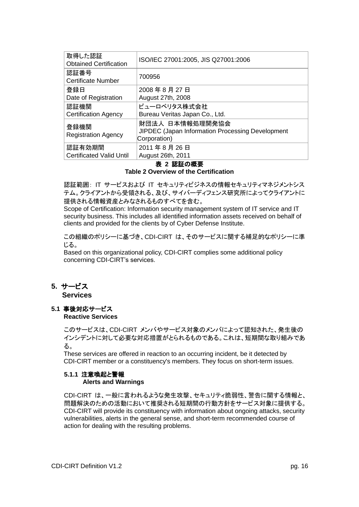| 取得した認証<br><b>Obtained Certification</b> | ISO/IEC 27001:2005, JIS Q27001:2006                                                        |
|-----------------------------------------|--------------------------------------------------------------------------------------------|
| 認証番号<br><b>Certificate Number</b>       | 700956                                                                                     |
| 登録日                                     | 2008年8月27日                                                                                 |
| Date of Registration                    | August 27th, 2008                                                                          |
| 認証機関                                    | ビューロベリタス株式会社                                                                               |
| <b>Certification Agency</b>             | Bureau Veritas Japan Co., Ltd.                                                             |
| 登録機関<br><b>Registration Agency</b>      | 財団法人 日本情報処理開発協会<br><b>JIPDEC</b> (Japan Information Processing Development<br>Corporation) |
| 認証有効期間                                  | 2011年8月26日                                                                                 |
| <b>Certificated Valid Until</b>         | August 26th, 2011                                                                          |

## 表 **2** 認証の概要

**Table 2 Overview of the Certification**

認証範囲: IT サービスおよび IT セキュリティビジネスの情報セキュリティマネジメントシス テム。クライアントから受領される、及び、サイバーディフェンス研究所によってクライアントに 提供される情報資産とみなされるものすべてを含む。

Scope of Certification: Information security management system of IT service and IT security business. This includes all identified information assets received on behalf of clients and provided for the clients by of Cyber Defense Institute.

この組織のポリシーに基づき、CDI-CIRT は、そのサービスに関する補足的なポリシーに準 じる。

Based on this organizational policy, CDI-CIRT complies some additional policy concerning CDI-CIRT's services.

<span id="page-15-0"></span>**5.** サービス

 **Services**

<span id="page-15-1"></span>**5.1** 事後対応サービス **Reactive Services**

> このサービスは、CDI-CIRT メンバやサービス対象のメンバによって認知された、発生後の インシデントに対して必要な対応措置がとられるものである。これは、短期間な取り組みであ る。

These services are offered in reaction to an occurring incident, be it detected by CDI-CIRT member or a constituency's members. They focus on short-term issues.

## <span id="page-15-2"></span>**5.1.1** 注意喚起と警報

## **Alerts and Warnings**

CDI-CIRT は、一般に言われるような発生攻撃、セキュリティ脆弱性、警告に関する情報と、 問題解決のための活動において推奨される短期間の行動方針をサービス対象に提供する。 CDI-CIRT will provide its constituency with information about ongoing attacks, security vulnerabilities, alerts in the general sense, and short-term recommended course of action for dealing with the resulting problems.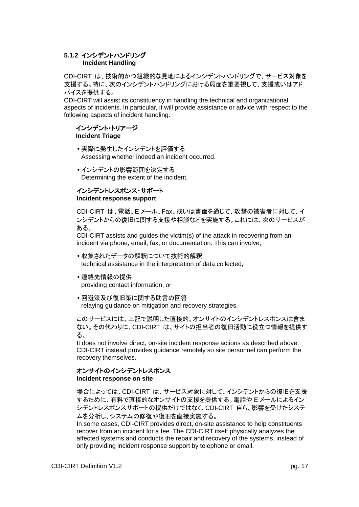## <span id="page-16-0"></span>**5.1.2** インシデントハンドリング **Incident Handling**

CDI-CIRT は、技術的かつ組織的な見地によるインシデントハンドリングで、サービス対象を 支援する。特に、次のインシデントハンドリングにおける局面を重要視して、支援或いはアド バイスを提供する。

CDI-CIRT will assist its constituency in handling the technical and organizational aspects of incidents. In particular, it will provide assistance or advice with respect to the following aspects of incident handling.

## インシデント・トリアージ **Incident Triage**

- 実際に発生したインシデントを評価する Assessing whether indeed an incident occurred.
- インシデントの影響範囲を決定する Determining the extent of the incident.

## インシデントレスポンス・サポート **Incident response support**

CDI-CIRT は、電話、E メール、Fax、或いは書面を通じて、攻撃の被害者に対して、イ ンシデントからの復旧に関する支援や相談などを実施する。これには、次のサービスが ある。

CDI-CIRT assists and guides the victim(s) of the attack in recovering from an incident via phone, email, fax, or documentation. This can involve;

- 収集されたデータの解釈について技術的解釈 technical assistance in the interpretation of data collected,
- 連絡先情報の提供

providing contact information, or

 回避策及び復旧策に関する助言の回答 relaying guidance on mitigation and recovery strategies.

このサービスには、上記で説明した直接的、オンサイトのインシデントレスポンスは含ま ない。その代わりに、CDI-CIRT は、サイトの担当者の復旧活動に役立つ情報を提供す る。

It does not involve direct, on-site incident response actions as described above. CDI-CIRT instead provides guidance remotely so site personnel can perform the recovery themselves.

## オンサイトのインシデントレスポンス

## **Incident response on site**

場合によっては、CDI-CIRT は、サービス対象に対して、インシデントからの復旧を支援 するために、有料で直接的なオンサイトの支援を提供する。電話や E メールによるイン シデントレスポンスサポートの提供だけではなく、CDI-CIRT 自ら、影響を受けたシステ ムを分析し、システムの修復や復旧を直接実施する。

In some cases, CDI-CIRT provides direct, on-site assistance to help constituents recover from an incident for a fee. The CDI-CIRT itself physically analyzes the affected systems and conducts the repair and recovery of the systems, instead of only providing incident response support by telephone or email.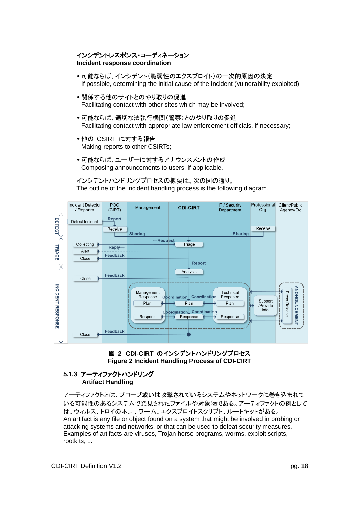## インシデントレスポンス・コーディネーション **Incident response coordination**

- 可能ならば、インシデント(脆弱性のエクスプロイト)の一次的原因の決定 If possible, determining the initial cause of the incident (vulnerability exploited);
- 関係する他のサイトとのやり取りの促進 Facilitating contact with other sites which may be involved;
- 可能ならば、適切な法執行機関(警察)とのやり取りの促進 Facilitating contact with appropriate law enforcement officials, if necessary;
- 他の CSIRT に対する報告 Making reports to other CSIRTs;
- 可能ならば、ユーザーに対するアナウンスメントの作成 Composing announcements to users, if applicable.

インシデントハンドリングプロセスの概要は、次の図の通り。 The outline of the incident handling process is the following diagram.





## <span id="page-17-0"></span>**5.1.3** アーティファクトハンドリング **Artifact Handling**

アーティファクトとは、プローブ或いは攻撃されているシステムやネットワークに巻き込まれて いる可能性のあるシステムで発見されたファイルや対象物である。アーティファクトの例として は、ウィルス、トロイの木馬、ワーム、エクスプロイトスクリプト、ルートキットがある。 An artifact is any file or object found on a system that might be involved in probing or attacking systems and networks, or that can be used to defeat security measures. Examples of artifacts are viruses, Trojan horse programs, worms, exploit scripts, rootkits, ...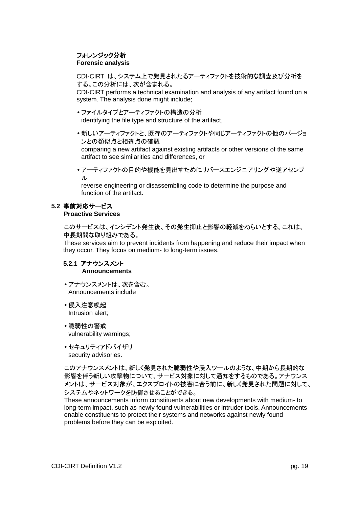## フォレンジック分析 **Forensic analysis**

CDI-CIRT は、システム上で発見されたるアーティファクトを技術的な調査及び分析を する。この分析には、次が含まれる。

CDI-CIRT performs a technical examination and analysis of any artifact found on a system. The analysis done might include;

- ファイルタイプとアーティファクトの構造の分析 identifying the file type and structure of the artifact,
- 新しいアーティファクトと、既存のアーティファクトや同じアーティファクトの他のバージョ ンとの類似点と相違点の確認

comparing a new artifact against existing artifacts or other versions of the same artifact to see similarities and differences, or

 アーティファクトの目的や機能を見出すためにリバースエンジニアリングや逆アセンブ ル

reverse engineering or disassembling code to determine the purpose and function of the artifact.

## <span id="page-18-0"></span>**5.2** 事前対応サービス

**Proactive Services**

このサービスは、インシデント発生後、その発生抑止と影響の軽減をねらいとする。これは、 中長期間な取り組みである。

These services aim to prevent incidents from happening and reduce their impact when they occur. They focus on medium- to long-term issues.

## <span id="page-18-1"></span>**5.2.1** アナウンスメント **Announcements**

- アナウンスメントは、次を含む。 Announcements include
- 侵入注意喚起 Intrusion alert;
- 脆弱性の警戒 vulnerability warnings;
- セキュリティアドバイザリ security advisories.

このアナウンスメントは、新しく発見された脆弱性や浸入ツールのような、中期から長期的な 影響を伴う新しい攻撃物について、サービス対象に対して通知をするものである。アナウンス メントは、サービス対象が、エクスプロイトの被害に合う前に、新しく発見された問題に対して、 システムやネットワークを防御させることができる。

These announcements inform constituents about new developments with medium- to long-term impact, such as newly found vulnerabilities or intruder tools. Announcements enable constituents to protect their systems and networks against newly found problems before they can be exploited.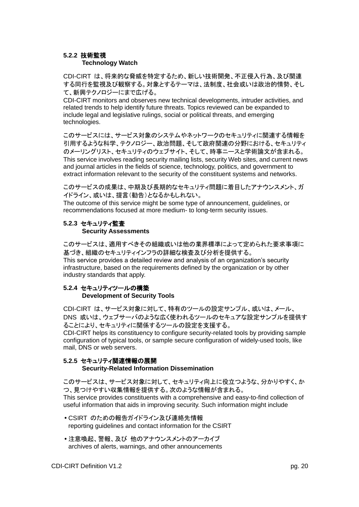## <span id="page-19-0"></span>**5.2.2** 技術監視

## **Technology Watch**

CDI-CIRT は、将来的な脅威を特定するため、新しい技術開発、不正侵入行為、及び関連 する同行を監視及び観察する。対象とするテーマは、法制度、社会或いは政治的情勢、そし て、新興テクノロジーにまで広げる。

CDI-CIRT monitors and observes new technical developments, intruder activities, and related trends to help identify future threats. Topics reviewed can be expanded to include legal and legislative rulings, social or political threats, and emerging technologies.

このサービスには、サービス対象のシステムやネットワークのセキュリティに関連する情報を 引用するような科学、テクノロジー、政治問題、そして政府関連の分野における、セキュリティ のメーリングリスト、セキュリティのウェブサイト、そして、時事ニースと学術論文が含まれる。 This service involves reading security mailing lists, security Web sites, and current news and journal articles in the fields of science, technology, politics, and government to extract information relevant to the security of the constituent systems and networks.

このサービスの成果は、中期及び長期的なセキュリティ問題に着目したアナウンスメント、ガ イドライン、或いは、提言(勧告)となるかもしれない。

The outcome of this service might be some type of announcement, guidelines, or recommendations focused at more medium- to long-term security issues.

## <span id="page-19-1"></span>**5.2.3** セキュリティ監査 **Security Assessments**

このサービスは、適用すべきその組織或いは他の業界標準によって定められた要求事項に 基づき、組織のセキュリティインフラの詳細な検査及び分析を提供する。 This service provides a detailed review and analysis of an organization's security infrastructure, based on the requirements defined by the organization or by other industry standards that apply.

## <span id="page-19-2"></span>**5.2.4** セキュリティツールの構築 **Development of Security Tools**

CDI-CIRT は、サービス対象に対して、特有のツールの設定サンプル、或いは、メール、 DNS 或いは、ウェブサーバのような広く使われるツールのセキュアな設定サンプルを提供す ることにより、セキュリティに関係するツールの設定を支援する。

CDI-CIRT helps its constituency to configure security-related tools by providing sample configuration of typical tools, or sample secure configuration of widely-used tools, like mail, DNS or web servers.

## <span id="page-19-3"></span>**5.2.5** セキュリティ関連情報の展開

## **Security-Related Information Dissemination**

このサービスは、サービス対象に対して、セキュリティ向上に役立つような、分かりやすく、か つ、見つけやすい収集情報を提供する。次のような情報が含まれる。 This service provides constituents with a comprehensive and easy-to-find collection of useful information that aids in improving security. Such information might include

- CSIRT のための報告ガイドライン及び連絡先情報 reporting guidelines and contact information for the CSIRT
- 注意喚起、警報、及び 他のアナウンスメントのアーカイブ archives of alerts, warnings, and other announcements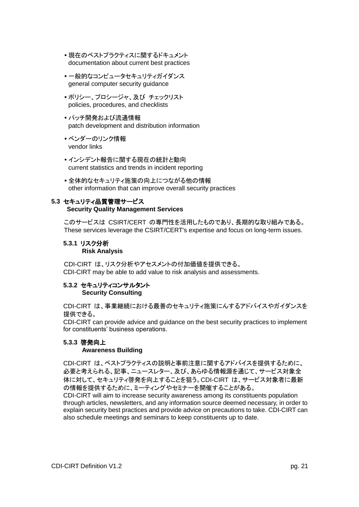- 現在のベストプラクティスに関するドキュメント documentation about current best practices
- 一般的なコンピュータセキュリティガイダンス general computer security guidance
- ポリシー、プロシージャ、及び チェックリスト policies, procedures, and checklists
- パッチ開発および流通情報 patch development and distribution information
- ベンダーのリンク情報 vendor links
- インシデント報告に関する現在の統計と動向 current statistics and trends in incident reporting
- 全体的なセキュリティ施策の向上につながる他の情報 other information that can improve overall security practices

## <span id="page-20-0"></span>**5.3** セキュリティ品質管理サービス

## **Security Quality Management Services**

このサービスは CSIRT/CERT の専門性を活用したものであり、長期的な取り組みである。 These services leverage the CSIRT/CERT's expertise and focus on long-term issues.

## <span id="page-20-1"></span>**5.3.1** リスク分析

## **Risk Analysis**

CDI-CIRT は、リスク分析やアセスメントの付加価値を提供できる。 CDI-CIRT may be able to add value to risk analysis and assessments.

## <span id="page-20-2"></span>**5.3.2** セキュリティコンサルタント **Security Consulting**

CDI-CIRT は、事業継続における最善のセキュリティ施策にんするアドバイスやガイダンスを 提供できる。

CDI-CIRT can provide advice and guidance on the best security practices to implement for constituents' business operations.

## <span id="page-20-3"></span>**5.3.3** 啓発向上

## **Awareness Building**

CDI-CIRT は、ベストプラクティスの説明と事前注意に関するアドバイスを提供するために、 必要と考えられる、記事、ニュースレター、及び、あらゆる情報源を通じて、サービス対象全 体に対して、セキュリティ啓発を向上することを狙う。CDI-CIRT は、サービス対象者に最新 の情報を提供するために、ミーティングやセミナーを開催することがある。

CDI-CIRT will aim to increase security awareness among its constituents population through articles, newsletters, and any information source deemed necessary, in order to explain security best practices and provide advice on precautions to take. CDI-CIRT can also schedule meetings and seminars to keep constituents up to date.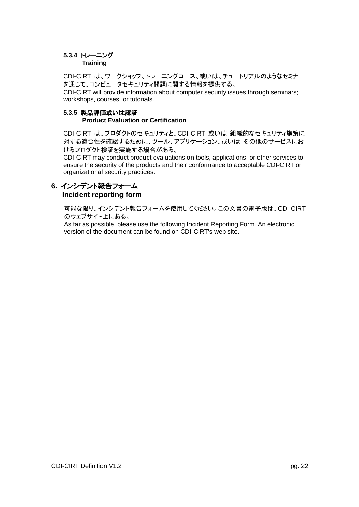## <span id="page-21-0"></span>**5.3.4** トレーニング

## **Training**

CDI-CIRT は、ワークショップ、トレーニングコース、或いは、チュートリアルのようなセミナー を通じて、コンピュータセキュリティ問題に関する情報を提供する。

CDI-CIRT will provide information about computer security issues through seminars; workshops, courses, or tutorials.

#### <span id="page-21-1"></span>**5.3.5** 製品評価或いは認証 **Product Evaluation or Certification**

CDI-CIRT は、プロダクトのセキュリティと、CDI-CIRT 或いは 組織的なセキュリティ施策に 対する適合性を確認するために、ツール、アプリケーション、或いは その他のサービスにお けるプロダクト検証を実施する場合がある。

CDI-CIRT may conduct product evaluations on tools, applications, or other services to ensure the security of the products and their conformance to acceptable CDI-CIRT or organizational security practices.

## <span id="page-21-2"></span>**6.** インシデント報告フォーム  **Incident reporting form**

可能な限り、インシデント報告フォームを使用してください。この文書の電子版は、CDI-CIRT のウェブサイト上にある。

As far as possible, please use the following Incident Reporting Form. An electronic version of the document can be found on CDI-CIRT's web site.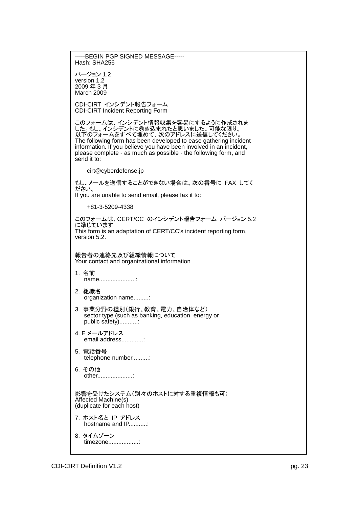-----BEGIN PGP SIGNED MESSAGE----- Hash: SHA256 バージョン 1.2 version 1.2 2009 年 3 月 March 2009 CDI-CIRT インシデント報告フォーム CDI-CIRT Incident Reporting Form このフォームは、インシデント情報収集を容易にするように作成されま した。もし、インシデントに巻き込まれたと思いました、可能な限り、 以下のフォームをすべて埋めて、次のアドレスに送信してください。 The following form has been developed to ease gathering incident information. If you believe you have been involved in an incident, please complete - as much as possible - the following form, and send it to: cirt@cyberdefense.jp もし、メールを送信することができない場合は、次の番号に FAX してく ださい。 If you are unable to send email, please fax it to: +81-3-5209-4338 このフォームは、CERT/CC のインシデント報告フォーム バージョン 5.2 に準じています This form is an adaptation of CERT/CC's incident reporting form, version 5.2. 報告者の連絡先及び組織情報について Your contact and organizational information 1. 名前 name........................ 2. 組織名 organization name.........: 3. 事業分野の種別(銀行、教育、電力、自治体など) sector type (such as banking, education, energy or public safety)...........: 4. E メールアドレス email address..............: 5. 電話番号 telephone number..........: 6. その他 other.....................: 影響を受けたシステム(別々のホストに対する重複情報も可) Affected Machine(s) (duplicate for each host) 7. ホスト名と IP アドレス hostname and IP...........: 8. タイムゾーン timezone..................: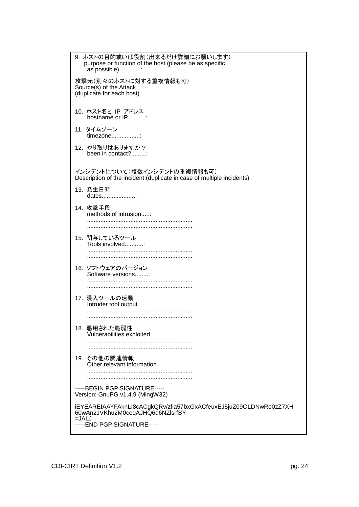| 9. ホストの目的或いは役割(出来るだけ詳細にお願いします)<br>purpose or function of the host (please be as specific<br>as possible):        |
|------------------------------------------------------------------------------------------------------------------|
| 攻撃元(別々のホストに対する重複情報も可)<br>Source(s) of the Attack<br>(duplicate for each host)                                    |
| 10. ホスト名と IP アドレス<br>hostname or IP                                                                              |
| 11. タイムゾーン<br>timezone:                                                                                          |
| 12. やり取りはありますか?<br>been in contact?:                                                                             |
| インシデントについて(複数インシデントの重複情報も可)<br>Description of the incident (duplicate in case of multiple incidents)             |
| 13. 発生日時<br>dates                                                                                                |
| 14. 攻撃手段<br>methods of intrusion:                                                                                |
| 15. 関与しているツール<br>Tools involved:                                                                                 |
| 16. ソフトウェアのバージョン<br>Software versions                                                                            |
|                                                                                                                  |
| 17. 浸入ツールの活動<br>Intruder tool output                                                                             |
|                                                                                                                  |
| 18. 悪用された脆弱性<br>Vulnerabilities exploited                                                                        |
|                                                                                                                  |
| 19. その他の関連情報<br>Other relevant information                                                                       |
|                                                                                                                  |
| ----- BEGIN PGP SIGNATURE-----<br>Version: GnuPG v1.4.9 (MingW32)                                                |
| iEYEAREIAAYFAknLl8cACgkQRv/zfla57bxGxACfeuxEJ5juZ09OLDNwRo0zZ7XH<br>60wAn2JVKhu2M0ceqAJHQ6d6NZIsrfBY<br>$=$ JALJ |
| -----END PGP SIGNATURE-----                                                                                      |